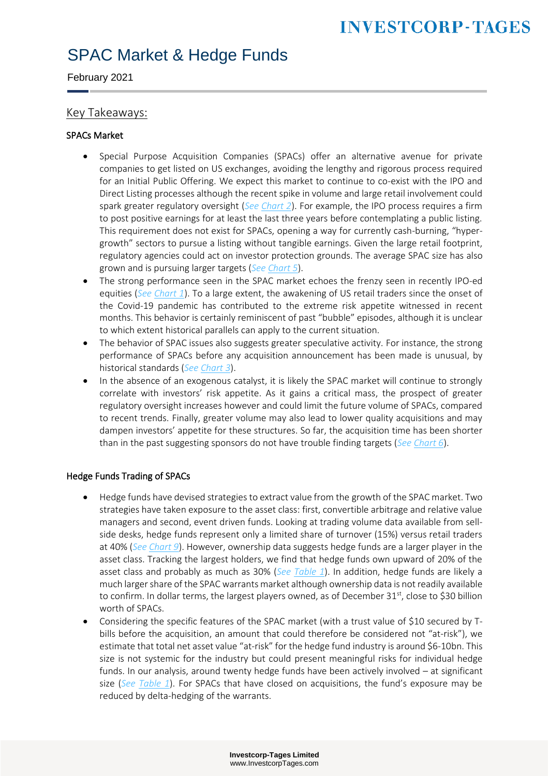February 2021

#### Key Takeaways:

#### SPACs Market

- Special Purpose Acquisition Companies (SPACs) offer an alternative avenue for private companies to get listed on US exchanges, avoiding the lengthy and rigorous process required for an Initial Public Offering. We expect this market to continue to co-exist with the IPO and Direct Listing processes although the recent spike in volume and large retail involvement could spark greater regulatory oversight (*See [Chart 2](#page-2-0)*). For example, the IPO process requires a firm to post positive earnings for at least the last three years before contemplating a public listing. This requirement does not exist for SPACs, opening a way for currently cash-burning, "hypergrowth" sectors to pursue a listing without tangible earnings. Given the large retail footprint, regulatory agencies could act on investor protection grounds. The average SPAC size has also grown and is pursuing larger targets (*Se[e Chart 5](#page-3-0)*).
- The strong performance seen in the SPAC market echoes the frenzy seen in recently IPO-ed equities (*See [Chart 1](#page-2-1)*). To a large extent, the awakening of US retail traders since the onset of the Covid-19 pandemic has contributed to the extreme risk appetite witnessed in recent months. This behavior is certainly reminiscent of past "bubble" episodes, although it is unclear to which extent historical parallels can apply to the current situation.
- The behavior of SPAC issues also suggests greater speculative activity. For instance, the strong performance of SPACs before any acquisition announcement has been made is unusual, by historical standards (*Se[e Chart 3](#page-3-1)*).
- In the absence of an exogenous catalyst, it is likely the SPAC market will continue to strongly correlate with investors' risk appetite. As it gains a critical mass, the prospect of greater regulatory oversight increases however and could limit the future volume of SPACs, compared to recent trends. Finally, greater volume may also lead to lower quality acquisitions and may dampen investors' appetite for these structures. So far, the acquisition time has been shorter than in the past suggesting sponsors do not have trouble finding targets (*Se[e Chart 6](#page-4-0)*).

#### Hedge Funds Trading of SPACs

- Hedge funds have devised strategies to extract value from the growth of the SPAC market. Two strategies have taken exposure to the asset class: first, convertible arbitrage and relative value managers and second, event driven funds. Looking at trading volume data available from sellside desks, hedge funds represent only a limited share of turnover (15%) versus retail traders at 40% (*Se[e Chart 9](#page-5-0)*). However, ownership data suggests hedge funds are a larger player in the asset class. Tracking the largest holders, we find that hedge funds own upward of 20% of the asset class and probably as much as 30% (*See [Table 1](#page-6-0)*). In addition, hedge funds are likely a much larger share of the SPAC warrants market although ownership data is not readily available to confirm. In dollar terms, the largest players owned, as of December 31st, close to \$30 billion worth of SPACs.
- Considering the specific features of the SPAC market (with a trust value of \$10 secured by Tbills before the acquisition, an amount that could therefore be considered not "at-risk"), we estimate that total net asset value "at-risk" for the hedge fund industry is around \$6-10bn. This size is not systemic for the industry but could present meaningful risks for individual hedge funds. In our analysis, around twenty hedge funds have been actively involved – at significant size (*See [Table 1](#page-6-0)*). For SPACs that have closed on acquisitions, the fund's exposure may be reduced by delta-hedging of the warrants.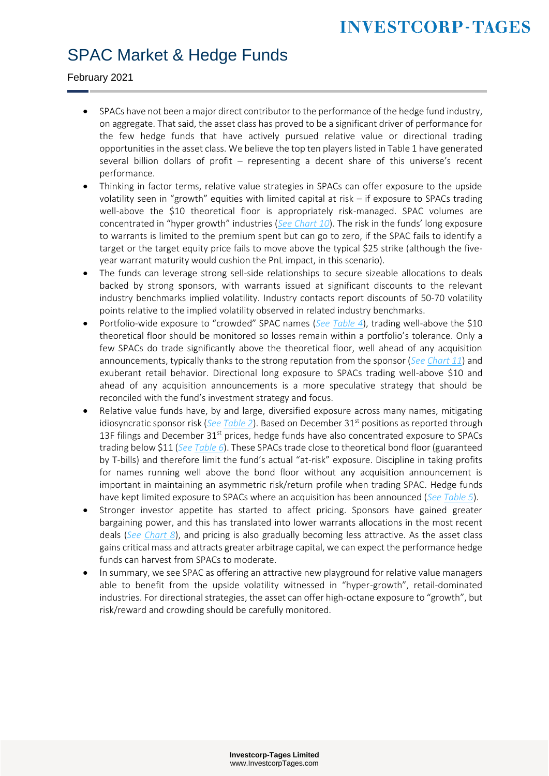#### SPAC Market & Hedge Funds

February 2021

- SPACs have not been a major direct contributor to the performance of the hedge fund industry, on aggregate. That said, the asset class has proved to be a significant driver of performance for the few hedge funds that have actively pursued relative value or directional trading opportunities in the asset class. We believe the top ten players listed in Table 1 have generated several billion dollars of profit – representing a decent share of this universe's recent performance.
- Thinking in factor terms, relative value strategies in SPACs can offer exposure to the upside volatility seen in "growth" equities with limited capital at risk – if exposure to SPACs trading well-above the \$10 theoretical floor is appropriately risk-managed. SPAC volumes are concentrated in "hyper growth" industries (*[See Chart 10](#page-5-1)*). The risk in the funds' long exposure to warrants is limited to the premium spent but can go to zero, if the SPAC fails to identify a target or the target equity price fails to move above the typical \$25 strike (although the fiveyear warrant maturity would cushion the PnL impact, in this scenario).
- The funds can leverage strong sell-side relationships to secure sizeable allocations to deals backed by strong sponsors, with warrants issued at significant discounts to the relevant industry benchmarks implied volatility. Industry contacts report discounts of 50-70 volatility points relative to the implied volatility observed in related industry benchmarks.
- Portfolio-wide exposure to "crowded" SPAC names (*See [Table 4](#page-9-0)*), trading well-above the \$10 theoretical floor should be monitored so losses remain within a portfolio's tolerance. Only a few SPACs do trade significantly above the theoretical floor, well ahead of any acquisition announcements, typically thanks to the strong reputation from the sponsor (*Se[e Chart 11](#page-5-2)*) and exuberant retail behavior. Directional long exposure to SPACs trading well-above \$10 and ahead of any acquisition announcements is a more speculative strategy that should be reconciled with the fund's investment strategy and focus.
- Relative value funds have, by and large, diversified exposure across many names, mitigating idiosyncratic sponsor risk (*See [Table 2](#page-7-0)*). Based on December 31st positions as reported through 13F filings and December  $31<sup>st</sup>$  prices, hedge funds have also concentrated exposure to SPACs trading below \$11 (*Se[e Table 6](#page-11-0)*). These SPACs trade close to theoretical bond floor (guaranteed by T-bills) and therefore limit the fund's actual "at-risk" exposure. Discipline in taking profits for names running well above the bond floor without any acquisition announcement is important in maintaining an asymmetric risk/return profile when trading SPAC. Hedge funds have kept limited exposure to SPACs where an acquisition has been announced (*See [Table 5](#page-10-0)*).
- Stronger investor appetite has started to affect pricing. Sponsors have gained greater bargaining power, and this has translated into lower warrants allocations in the most recent deals (*See [Chart 8](#page-4-1)*), and pricing is also gradually becoming less attractive. As the asset class gains critical mass and attracts greater arbitrage capital, we can expect the performance hedge funds can harvest from SPACs to moderate.
- In summary, we see SPAC as offering an attractive new playground for relative value managers able to benefit from the upside volatility witnessed in "hyper-growth", retail-dominated industries. For directional strategies, the asset can offer high-octane exposure to "growth", but risk/reward and crowding should be carefully monitored.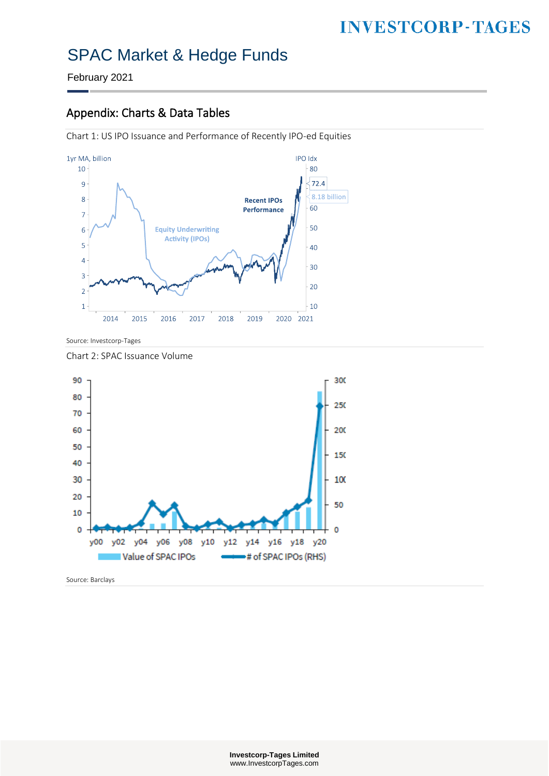February 2021

#### Appendix: Charts & Data Tables

<span id="page-2-1"></span>Chart 1: US IPO Issuance and Performance of Recently IPO-ed Equities



Source: Investcorp-Tages

<span id="page-2-0"></span>Chart 2: SPAC Issuance Volume



Source: Barclays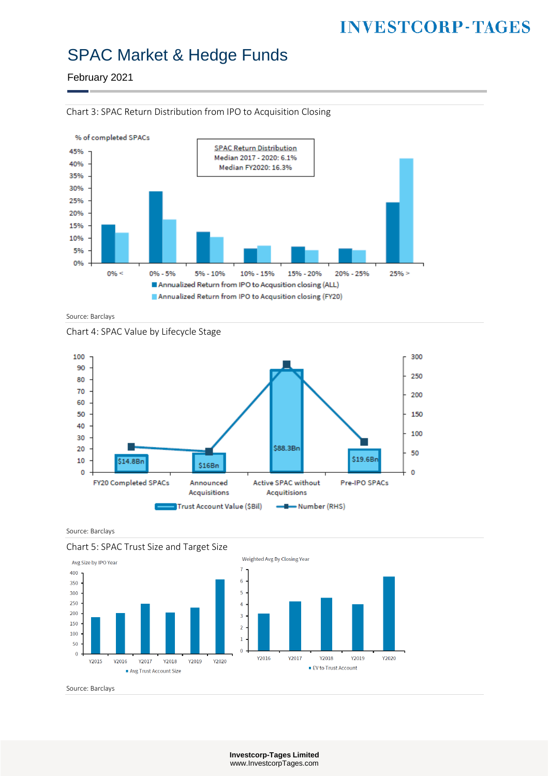February 2021



<span id="page-3-1"></span>Chart 3: SPAC Return Distribution from IPO to Acquisition Closing

Source: Barclays





Source: Barclays

<span id="page-3-0"></span>



Source: Barclays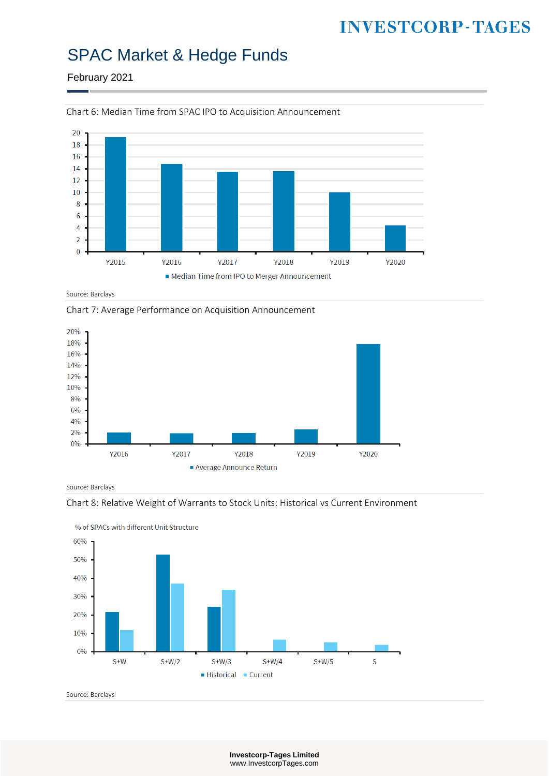### SPAC Market & Hedge Funds

February 2021



<span id="page-4-0"></span>Chart 6: Median Time from SPAC IPO to Acquisition Announcement

Source: Barclays

Chart 7: Average Performance on Acquisition Announcement



Source: Barclays

<span id="page-4-1"></span>



Source: Barclays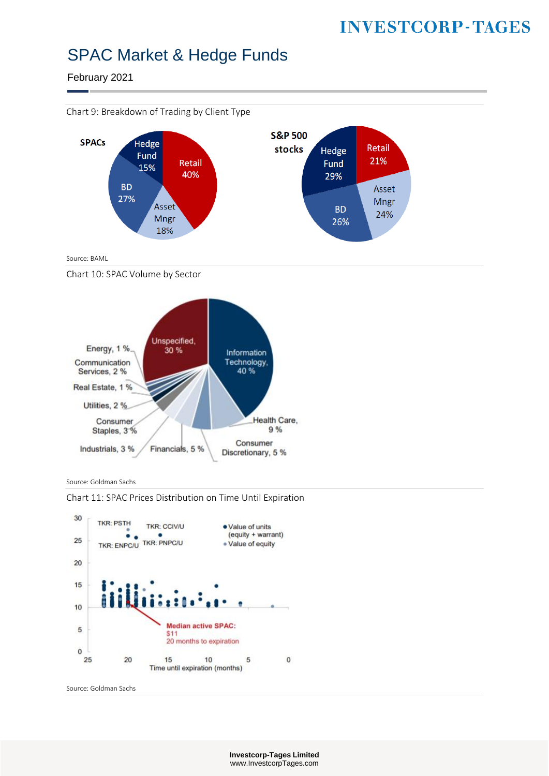#### SPAC Market & Hedge Funds

February 2021

<span id="page-5-0"></span>

Source: BAML

<span id="page-5-1"></span>Chart 10: SPAC Volume by Sector



Source: Goldman Sachs

<span id="page-5-2"></span>Chart 11: SPAC Prices Distribution on Time Until Expiration



Source: Goldman Sachs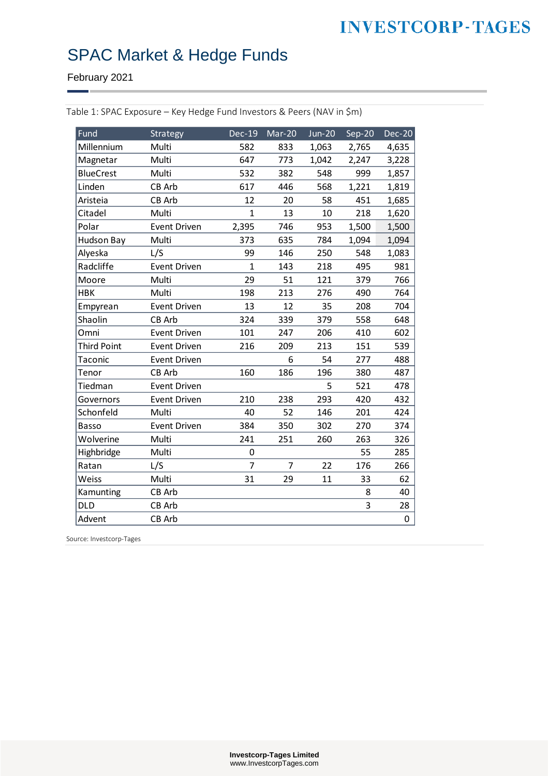# SPAC Market & Hedge Funds

February 2021

| Fund               | Strategy            | <b>Dec-19</b>  | Mar-20         | <b>Jun-20</b> | Sep-20 | <b>Dec-20</b> |
|--------------------|---------------------|----------------|----------------|---------------|--------|---------------|
| Millennium         | Multi               | 582            | 833            | 1,063         | 2,765  | 4,635         |
| Magnetar           | Multi               | 647            | 773            | 1,042         | 2,247  | 3,228         |
| <b>BlueCrest</b>   | Multi               | 532            | 382            | 548           | 999    | 1,857         |
| Linden             | CB Arb              | 617            | 446            | 568           | 1,221  | 1,819         |
| Aristeia           | CB Arb              | 12             | 20             | 58            | 451    | 1,685         |
| Citadel            | Multi               | $\overline{1}$ | 13             | 10            | 218    | 1,620         |
| Polar              | <b>Event Driven</b> | 2,395          | 746            | 953           | 1,500  | 1,500         |
| <b>Hudson Bay</b>  | Multi               | 373            | 635            | 784           | 1,094  | 1,094         |
| Alyeska            | L/S                 | 99             | 146            | 250           | 548    | 1,083         |
| Radcliffe          | <b>Event Driven</b> | $\mathbf{1}$   | 143            | 218           | 495    | 981           |
| Moore              | Multi               | 29             | 51             | 121           | 379    | 766           |
| <b>HBK</b>         | Multi               | 198            | 213            | 276           | 490    | 764           |
| Empyrean           | <b>Event Driven</b> | 13             | 12             | 35            | 208    | 704           |
| Shaolin            | CB Arb              | 324            | 339            | 379           | 558    | 648           |
| Omni               | <b>Event Driven</b> | 101            | 247            | 206           | 410    | 602           |
| <b>Third Point</b> | <b>Event Driven</b> | 216            | 209            | 213           | 151    | 539           |
| Taconic            | <b>Event Driven</b> |                | 6              | 54            | 277    | 488           |
| Tenor              | CB Arb              | 160            | 186            | 196           | 380    | 487           |
| Tiedman            | <b>Event Driven</b> |                |                | 5             | 521    | 478           |
| Governors          | Event Driven        | 210            | 238            | 293           | 420    | 432           |
| Schonfeld          | Multi               | 40             | 52             | 146           | 201    | 424           |
| Basso              | Event Driven        | 384            | 350            | 302           | 270    | 374           |
| Wolverine          | Multi               | 241            | 251            | 260           | 263    | 326           |
| Highbridge         | Multi               | 0              |                |               | 55     | 285           |
| Ratan              | L/S                 | $\overline{7}$ | $\overline{7}$ | 22            | 176    | 266           |
| Weiss              | Multi               | 31             | 29             | 11            | 33     | 62            |
| Kamunting          | CB Arb              |                |                |               | 8      | 40            |
| DLD                | CB Arb              |                |                |               | 3      | 28            |
| Advent             | CB Arb              |                |                |               |        | $\mathbf 0$   |

<span id="page-6-0"></span>Table 1: SPAC Exposure – Key Hedge Fund Investors & Peers (NAV in \$m)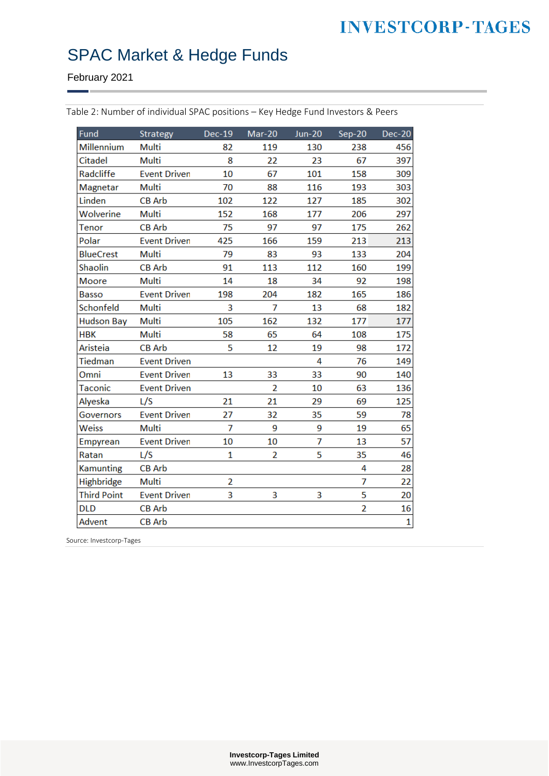# SPAC Market & Hedge Funds

February 2021

| Fund               | Strategy            | <b>Dec-19</b>  | Mar-20         | $Jun-20$ | $Sep-20$       | Dec-20       |
|--------------------|---------------------|----------------|----------------|----------|----------------|--------------|
| <b>Millennium</b>  | Multi               | 82             | 119            | 130      | 238            | 456          |
| <b>Citadel</b>     | <b>Multi</b>        | 8              | 22             | 23       | 67             | 397          |
| Radcliffe          | <b>Event Driven</b> | 10             | 67             | 101      | 158            | 309          |
| Magnetar           | Multi               | 70             | 88             | 116      | 193            | 303          |
| Linden             | <b>CB Arb</b>       | 102            | 122            | 127      | 185            | 302          |
| Wolverine          | Multi               | 152            | 168            | 177      | 206            | 297          |
| Tenor              | <b>CB Arb</b>       | 75             | 97             | 97       | 175            | 262          |
| Polar              | <b>Event Driven</b> | 425            | 166            | 159      | 213            | 213          |
| <b>BlueCrest</b>   | Multi               | 79             | 83             | 93       | 133            | 204          |
| Shaolin            | <b>CB Arb</b>       | 91             | 113            | 112      | 160            | 199          |
| <b>Moore</b>       | <b>Multi</b>        | 14             | 18             | 34       | 92             | 198          |
| <b>Basso</b>       | <b>Event Driven</b> | 198            | 204            | 182      | 165            | 186          |
| Schonfeld          | Multi               | 3              | 7              | 13       | 68             | 182          |
| <b>Hudson Bay</b>  | Multi               | 105            | 162            | 132      | 177            | 177          |
| <b>HBK</b>         | Multi               | 58             | 65             | 64       | 108            | 175          |
| Aristeia           | <b>CB Arb</b>       | 5              | 12             | 19       | 98             | 172          |
| <b>Tiedman</b>     | <b>Event Driven</b> |                |                | 4        | 76             | 149          |
| Omni               | <b>Event Driven</b> | 13             | 33             | 33       | 90             | 140          |
| Taconic            | <b>Event Driven</b> |                | $\overline{2}$ | 10       | 63             | 136          |
| Alyeska            | L/S                 | 21             | 21             | 29       | 69             | 125          |
| Governors          | <b>Event Driven</b> | 27             | 32             | 35       | 59             | 78           |
| Weiss              | Multi               | $\overline{7}$ | 9              | 9        | 19             | 65           |
| Empyrean           | <b>Event Driven</b> | 10             | 10             | 7        | 13             | 57           |
| Ratan              | L/S                 | 1              | $\overline{2}$ | 5        | 35             | 46           |
| <b>Kamunting</b>   | <b>CB Arb</b>       |                |                |          | 4              | 28           |
| Highbridge         | Multi               | $\overline{2}$ |                |          | 7              | 22           |
| <b>Third Point</b> | <b>Event Driven</b> | 3              | 3              | 3        | 5              | 20           |
| <b>DLD</b>         | <b>CB Arb</b>       |                |                |          | $\overline{2}$ | 16           |
| Advent             | <b>CB Arb</b>       |                |                |          |                | $\mathbf{1}$ |

<span id="page-7-0"></span>Table 2: Number of individual SPAC positions – Key Hedge Fund Investors & Peers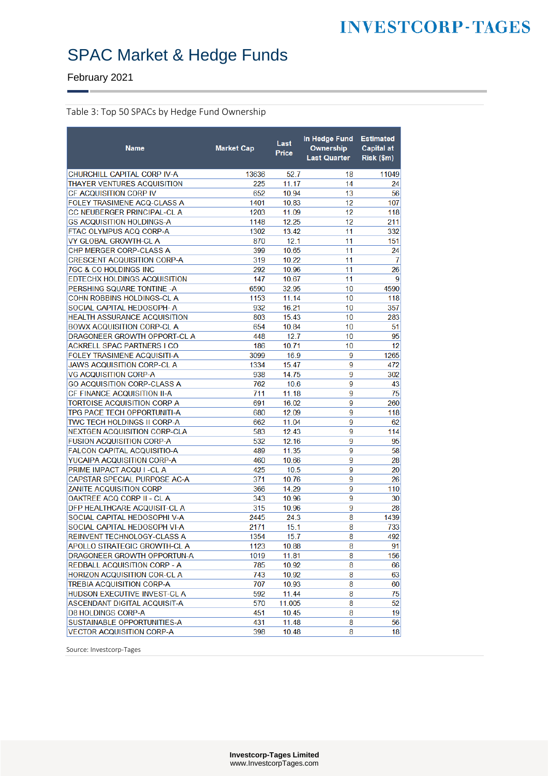February 2021

#### Table 3: Top 50 SPACs by Hedge Fund Ownership

| CHURCHILL CAPITAL CORP IV-A<br>13636<br>52.7<br>11049<br>18<br>THAYER VENTURES ACQUISITION<br>11.17<br>14<br>225<br>24<br><b>CF ACQUISITION CORP IV</b><br>652<br>10.94<br>13<br>56<br>FOLEY TRASIMENE ACQ-CLASS A<br>1401<br>10.83<br>12<br>107<br>1203<br>12<br><b>CC NEUBERGER PRINCIPAL-CL A</b><br>11.09<br>118<br>12.25<br>12<br>211<br><b>GS ACQUISITION HOLDINGS-A</b><br>1148<br>FTAC OLYMPUS ACQ CORP-A<br>1302<br>13.42<br>11<br>332<br>12.1<br>VY GLOBAL GROWTH-CL A<br>870<br>11<br>151<br>CHP MERGER CORP-CLASS A<br>399<br>10.65<br>11<br>24<br><b>CRESCENT ACQUISITION CORP-A</b><br>319<br>10.22<br>11<br>7<br>26<br>7GC & CO HOLDINGS INC<br>292<br>10.96<br>11<br>9<br>EDTECHX HOLDINGS ACQUISITION<br>147<br>11<br>10.67<br>10<br>PERSHING SQUARE TONTINE -A<br>6590<br>32.95<br>4590<br>10<br>COHN ROBBINS HOLDINGS-CL A<br>1153<br>11.14<br>118<br>SOCIAL CAPITAL HEDOSOPH- A<br>932<br>16.21<br>10<br>357<br>HEALTH ASSURANCE ACQUISITION<br>803<br>15.43<br>10<br>283<br><b>BOWX ACQUISITION CORP-CL A</b><br>654<br>10.84<br>10<br>51<br>12.7<br>95<br>DRAGONEER GROWTH OPPORT-CL A<br>448<br>10<br>12<br><b>ACKRELL SPAC PARTNERS I CO</b><br>186<br>10.71<br>10<br>9<br>FOLEY TRASIMENE ACQUISITI-A<br>3099<br>16.9<br>1265<br>15.47<br>9<br><b>JAWS ACQUISITION CORP-CL A</b><br>1334<br>472<br><b>VG ACQUISITION CORP-A</b><br>14.75<br>9<br>938<br>302<br>9<br>43<br><b>GO ACQUISITION CORP-CLASS A</b><br>762<br>10.6<br>75<br>CF FINANCE ACQUISITION II-A<br>9<br>711<br>11.18<br>TORTOISE ACQUISITION CORP A<br>691<br>9<br>260<br>16.02<br>TPG PACE TECH OPPORTUNITI-A<br>9<br>680<br>12.09<br>118 | <b>Name</b>                 | <b>Market Cap</b> | Last<br>Price | In Hedge Fund<br>Ownership<br><b>Last Quarter</b> | <b>Estimated</b><br><b>Capital at</b><br>Risk (\$m) |
|--------------------------------------------------------------------------------------------------------------------------------------------------------------------------------------------------------------------------------------------------------------------------------------------------------------------------------------------------------------------------------------------------------------------------------------------------------------------------------------------------------------------------------------------------------------------------------------------------------------------------------------------------------------------------------------------------------------------------------------------------------------------------------------------------------------------------------------------------------------------------------------------------------------------------------------------------------------------------------------------------------------------------------------------------------------------------------------------------------------------------------------------------------------------------------------------------------------------------------------------------------------------------------------------------------------------------------------------------------------------------------------------------------------------------------------------------------------------------------------------------------------------------------------------------------------------------------------------------------------------------------------|-----------------------------|-------------------|---------------|---------------------------------------------------|-----------------------------------------------------|
|                                                                                                                                                                                                                                                                                                                                                                                                                                                                                                                                                                                                                                                                                                                                                                                                                                                                                                                                                                                                                                                                                                                                                                                                                                                                                                                                                                                                                                                                                                                                                                                                                                      |                             |                   |               |                                                   |                                                     |
|                                                                                                                                                                                                                                                                                                                                                                                                                                                                                                                                                                                                                                                                                                                                                                                                                                                                                                                                                                                                                                                                                                                                                                                                                                                                                                                                                                                                                                                                                                                                                                                                                                      |                             |                   |               |                                                   |                                                     |
|                                                                                                                                                                                                                                                                                                                                                                                                                                                                                                                                                                                                                                                                                                                                                                                                                                                                                                                                                                                                                                                                                                                                                                                                                                                                                                                                                                                                                                                                                                                                                                                                                                      |                             |                   |               |                                                   |                                                     |
|                                                                                                                                                                                                                                                                                                                                                                                                                                                                                                                                                                                                                                                                                                                                                                                                                                                                                                                                                                                                                                                                                                                                                                                                                                                                                                                                                                                                                                                                                                                                                                                                                                      |                             |                   |               |                                                   |                                                     |
|                                                                                                                                                                                                                                                                                                                                                                                                                                                                                                                                                                                                                                                                                                                                                                                                                                                                                                                                                                                                                                                                                                                                                                                                                                                                                                                                                                                                                                                                                                                                                                                                                                      |                             |                   |               |                                                   |                                                     |
|                                                                                                                                                                                                                                                                                                                                                                                                                                                                                                                                                                                                                                                                                                                                                                                                                                                                                                                                                                                                                                                                                                                                                                                                                                                                                                                                                                                                                                                                                                                                                                                                                                      |                             |                   |               |                                                   |                                                     |
|                                                                                                                                                                                                                                                                                                                                                                                                                                                                                                                                                                                                                                                                                                                                                                                                                                                                                                                                                                                                                                                                                                                                                                                                                                                                                                                                                                                                                                                                                                                                                                                                                                      |                             |                   |               |                                                   |                                                     |
|                                                                                                                                                                                                                                                                                                                                                                                                                                                                                                                                                                                                                                                                                                                                                                                                                                                                                                                                                                                                                                                                                                                                                                                                                                                                                                                                                                                                                                                                                                                                                                                                                                      |                             |                   |               |                                                   |                                                     |
|                                                                                                                                                                                                                                                                                                                                                                                                                                                                                                                                                                                                                                                                                                                                                                                                                                                                                                                                                                                                                                                                                                                                                                                                                                                                                                                                                                                                                                                                                                                                                                                                                                      |                             |                   |               |                                                   |                                                     |
|                                                                                                                                                                                                                                                                                                                                                                                                                                                                                                                                                                                                                                                                                                                                                                                                                                                                                                                                                                                                                                                                                                                                                                                                                                                                                                                                                                                                                                                                                                                                                                                                                                      |                             |                   |               |                                                   |                                                     |
|                                                                                                                                                                                                                                                                                                                                                                                                                                                                                                                                                                                                                                                                                                                                                                                                                                                                                                                                                                                                                                                                                                                                                                                                                                                                                                                                                                                                                                                                                                                                                                                                                                      |                             |                   |               |                                                   |                                                     |
|                                                                                                                                                                                                                                                                                                                                                                                                                                                                                                                                                                                                                                                                                                                                                                                                                                                                                                                                                                                                                                                                                                                                                                                                                                                                                                                                                                                                                                                                                                                                                                                                                                      |                             |                   |               |                                                   |                                                     |
|                                                                                                                                                                                                                                                                                                                                                                                                                                                                                                                                                                                                                                                                                                                                                                                                                                                                                                                                                                                                                                                                                                                                                                                                                                                                                                                                                                                                                                                                                                                                                                                                                                      |                             |                   |               |                                                   |                                                     |
|                                                                                                                                                                                                                                                                                                                                                                                                                                                                                                                                                                                                                                                                                                                                                                                                                                                                                                                                                                                                                                                                                                                                                                                                                                                                                                                                                                                                                                                                                                                                                                                                                                      |                             |                   |               |                                                   |                                                     |
|                                                                                                                                                                                                                                                                                                                                                                                                                                                                                                                                                                                                                                                                                                                                                                                                                                                                                                                                                                                                                                                                                                                                                                                                                                                                                                                                                                                                                                                                                                                                                                                                                                      |                             |                   |               |                                                   |                                                     |
|                                                                                                                                                                                                                                                                                                                                                                                                                                                                                                                                                                                                                                                                                                                                                                                                                                                                                                                                                                                                                                                                                                                                                                                                                                                                                                                                                                                                                                                                                                                                                                                                                                      |                             |                   |               |                                                   |                                                     |
|                                                                                                                                                                                                                                                                                                                                                                                                                                                                                                                                                                                                                                                                                                                                                                                                                                                                                                                                                                                                                                                                                                                                                                                                                                                                                                                                                                                                                                                                                                                                                                                                                                      |                             |                   |               |                                                   |                                                     |
|                                                                                                                                                                                                                                                                                                                                                                                                                                                                                                                                                                                                                                                                                                                                                                                                                                                                                                                                                                                                                                                                                                                                                                                                                                                                                                                                                                                                                                                                                                                                                                                                                                      |                             |                   |               |                                                   |                                                     |
|                                                                                                                                                                                                                                                                                                                                                                                                                                                                                                                                                                                                                                                                                                                                                                                                                                                                                                                                                                                                                                                                                                                                                                                                                                                                                                                                                                                                                                                                                                                                                                                                                                      |                             |                   |               |                                                   |                                                     |
|                                                                                                                                                                                                                                                                                                                                                                                                                                                                                                                                                                                                                                                                                                                                                                                                                                                                                                                                                                                                                                                                                                                                                                                                                                                                                                                                                                                                                                                                                                                                                                                                                                      |                             |                   |               |                                                   |                                                     |
|                                                                                                                                                                                                                                                                                                                                                                                                                                                                                                                                                                                                                                                                                                                                                                                                                                                                                                                                                                                                                                                                                                                                                                                                                                                                                                                                                                                                                                                                                                                                                                                                                                      |                             |                   |               |                                                   |                                                     |
|                                                                                                                                                                                                                                                                                                                                                                                                                                                                                                                                                                                                                                                                                                                                                                                                                                                                                                                                                                                                                                                                                                                                                                                                                                                                                                                                                                                                                                                                                                                                                                                                                                      |                             |                   |               |                                                   |                                                     |
|                                                                                                                                                                                                                                                                                                                                                                                                                                                                                                                                                                                                                                                                                                                                                                                                                                                                                                                                                                                                                                                                                                                                                                                                                                                                                                                                                                                                                                                                                                                                                                                                                                      |                             |                   |               |                                                   |                                                     |
|                                                                                                                                                                                                                                                                                                                                                                                                                                                                                                                                                                                                                                                                                                                                                                                                                                                                                                                                                                                                                                                                                                                                                                                                                                                                                                                                                                                                                                                                                                                                                                                                                                      |                             |                   |               |                                                   |                                                     |
|                                                                                                                                                                                                                                                                                                                                                                                                                                                                                                                                                                                                                                                                                                                                                                                                                                                                                                                                                                                                                                                                                                                                                                                                                                                                                                                                                                                                                                                                                                                                                                                                                                      |                             |                   |               |                                                   |                                                     |
|                                                                                                                                                                                                                                                                                                                                                                                                                                                                                                                                                                                                                                                                                                                                                                                                                                                                                                                                                                                                                                                                                                                                                                                                                                                                                                                                                                                                                                                                                                                                                                                                                                      |                             |                   |               |                                                   |                                                     |
|                                                                                                                                                                                                                                                                                                                                                                                                                                                                                                                                                                                                                                                                                                                                                                                                                                                                                                                                                                                                                                                                                                                                                                                                                                                                                                                                                                                                                                                                                                                                                                                                                                      | TWC TECH HOLDINGS II CORP-A | 662               | 11.04         | 9                                                 | 62                                                  |
| 583<br>12.43<br>9<br>NEXTGEN ACQUISITION CORP-CLA<br>114                                                                                                                                                                                                                                                                                                                                                                                                                                                                                                                                                                                                                                                                                                                                                                                                                                                                                                                                                                                                                                                                                                                                                                                                                                                                                                                                                                                                                                                                                                                                                                             |                             |                   |               |                                                   |                                                     |
| <b>FUSION ACQUISITION CORP-A</b><br>532<br>12.16<br>9<br>95                                                                                                                                                                                                                                                                                                                                                                                                                                                                                                                                                                                                                                                                                                                                                                                                                                                                                                                                                                                                                                                                                                                                                                                                                                                                                                                                                                                                                                                                                                                                                                          |                             |                   |               |                                                   |                                                     |
| 9<br>58<br><b>FALCON CAPITAL ACQUISITIO-A</b><br>489<br>11.35                                                                                                                                                                                                                                                                                                                                                                                                                                                                                                                                                                                                                                                                                                                                                                                                                                                                                                                                                                                                                                                                                                                                                                                                                                                                                                                                                                                                                                                                                                                                                                        |                             |                   |               |                                                   |                                                     |
| 28<br>9<br>YUCAIPA ACQUISITION CORP-A<br>460<br>10.66                                                                                                                                                                                                                                                                                                                                                                                                                                                                                                                                                                                                                                                                                                                                                                                                                                                                                                                                                                                                                                                                                                                                                                                                                                                                                                                                                                                                                                                                                                                                                                                |                             |                   |               |                                                   |                                                     |
| 425<br>10.5<br>9<br>20<br>PRIME IMPACT ACQU I -CL A                                                                                                                                                                                                                                                                                                                                                                                                                                                                                                                                                                                                                                                                                                                                                                                                                                                                                                                                                                                                                                                                                                                                                                                                                                                                                                                                                                                                                                                                                                                                                                                  |                             |                   |               |                                                   |                                                     |
| 26<br>CAPSTAR SPECIAL PURPOSE AC-A<br>371<br>10.76<br>9                                                                                                                                                                                                                                                                                                                                                                                                                                                                                                                                                                                                                                                                                                                                                                                                                                                                                                                                                                                                                                                                                                                                                                                                                                                                                                                                                                                                                                                                                                                                                                              |                             |                   |               |                                                   |                                                     |
| 9<br>110<br><b>ZANITE ACQUISITION CORP</b><br>366<br>14.29                                                                                                                                                                                                                                                                                                                                                                                                                                                                                                                                                                                                                                                                                                                                                                                                                                                                                                                                                                                                                                                                                                                                                                                                                                                                                                                                                                                                                                                                                                                                                                           |                             |                   |               |                                                   |                                                     |
| 9<br>OAKTREE ACQ CORP II - CL A<br>343<br>10.96<br>30                                                                                                                                                                                                                                                                                                                                                                                                                                                                                                                                                                                                                                                                                                                                                                                                                                                                                                                                                                                                                                                                                                                                                                                                                                                                                                                                                                                                                                                                                                                                                                                |                             |                   |               |                                                   |                                                     |
| 315<br>9<br>28<br>DFP HEALTHCARE ACQUISIT-CL A<br>10.96                                                                                                                                                                                                                                                                                                                                                                                                                                                                                                                                                                                                                                                                                                                                                                                                                                                                                                                                                                                                                                                                                                                                                                                                                                                                                                                                                                                                                                                                                                                                                                              |                             |                   |               |                                                   |                                                     |
| SOCIAL CAPITAL HEDOSOPHI V-A<br>2445<br>8<br>24.3<br>1439                                                                                                                                                                                                                                                                                                                                                                                                                                                                                                                                                                                                                                                                                                                                                                                                                                                                                                                                                                                                                                                                                                                                                                                                                                                                                                                                                                                                                                                                                                                                                                            |                             |                   |               |                                                   |                                                     |
| 733<br>SOCIAL CAPITAL HEDOSOPH VI-A<br>2171<br>15.1<br>8                                                                                                                                                                                                                                                                                                                                                                                                                                                                                                                                                                                                                                                                                                                                                                                                                                                                                                                                                                                                                                                                                                                                                                                                                                                                                                                                                                                                                                                                                                                                                                             |                             |                   |               |                                                   |                                                     |
| REINVENT TECHNOLOGY-CLASS A<br>15.7<br>8<br>492<br>1354                                                                                                                                                                                                                                                                                                                                                                                                                                                                                                                                                                                                                                                                                                                                                                                                                                                                                                                                                                                                                                                                                                                                                                                                                                                                                                                                                                                                                                                                                                                                                                              |                             |                   |               |                                                   |                                                     |
| APOLLO STRATEGIC GROWTH-CL A<br>1123<br>10.88<br>8                                                                                                                                                                                                                                                                                                                                                                                                                                                                                                                                                                                                                                                                                                                                                                                                                                                                                                                                                                                                                                                                                                                                                                                                                                                                                                                                                                                                                                                                                                                                                                                   |                             |                   |               |                                                   | 91                                                  |
| 8<br>DRAGONEER GROWTH OPPORTUN-A<br>1019<br>11.81                                                                                                                                                                                                                                                                                                                                                                                                                                                                                                                                                                                                                                                                                                                                                                                                                                                                                                                                                                                                                                                                                                                                                                                                                                                                                                                                                                                                                                                                                                                                                                                    |                             |                   |               |                                                   | 156                                                 |
| <b>REDBALL ACQUISITION CORP - A</b><br>785<br>8<br>10.92                                                                                                                                                                                                                                                                                                                                                                                                                                                                                                                                                                                                                                                                                                                                                                                                                                                                                                                                                                                                                                                                                                                                                                                                                                                                                                                                                                                                                                                                                                                                                                             |                             |                   |               |                                                   | 66                                                  |
| HORIZON ACQUISITION COR-CL A<br>743<br>10.92<br>8                                                                                                                                                                                                                                                                                                                                                                                                                                                                                                                                                                                                                                                                                                                                                                                                                                                                                                                                                                                                                                                                                                                                                                                                                                                                                                                                                                                                                                                                                                                                                                                    |                             |                   |               |                                                   | 63                                                  |
| <b>TREBIA ACQUISITION CORP-A</b><br>707<br>10.93<br>8                                                                                                                                                                                                                                                                                                                                                                                                                                                                                                                                                                                                                                                                                                                                                                                                                                                                                                                                                                                                                                                                                                                                                                                                                                                                                                                                                                                                                                                                                                                                                                                |                             |                   |               |                                                   | 60                                                  |
| 592<br>8<br>HUDSON EXECUTIVE INVEST-CL A<br>11.44                                                                                                                                                                                                                                                                                                                                                                                                                                                                                                                                                                                                                                                                                                                                                                                                                                                                                                                                                                                                                                                                                                                                                                                                                                                                                                                                                                                                                                                                                                                                                                                    |                             |                   |               |                                                   | 75                                                  |
| ASCENDANT DIGITAL ACQUISIT-A<br>570<br>8<br>11.005                                                                                                                                                                                                                                                                                                                                                                                                                                                                                                                                                                                                                                                                                                                                                                                                                                                                                                                                                                                                                                                                                                                                                                                                                                                                                                                                                                                                                                                                                                                                                                                   |                             |                   |               |                                                   | 52                                                  |
| <b>D8 HOLDINGS CORP-A</b><br>451<br>10.45<br>8                                                                                                                                                                                                                                                                                                                                                                                                                                                                                                                                                                                                                                                                                                                                                                                                                                                                                                                                                                                                                                                                                                                                                                                                                                                                                                                                                                                                                                                                                                                                                                                       |                             |                   |               |                                                   | 19                                                  |
| SUSTAINABLE OPPORTUNITIES-A<br>431<br>11.48<br>8                                                                                                                                                                                                                                                                                                                                                                                                                                                                                                                                                                                                                                                                                                                                                                                                                                                                                                                                                                                                                                                                                                                                                                                                                                                                                                                                                                                                                                                                                                                                                                                     |                             |                   |               |                                                   | 56                                                  |
| 8<br><b>VECTOR ACQUISITION CORP-A</b><br>398<br>10.48                                                                                                                                                                                                                                                                                                                                                                                                                                                                                                                                                                                                                                                                                                                                                                                                                                                                                                                                                                                                                                                                                                                                                                                                                                                                                                                                                                                                                                                                                                                                                                                |                             |                   |               |                                                   | 18                                                  |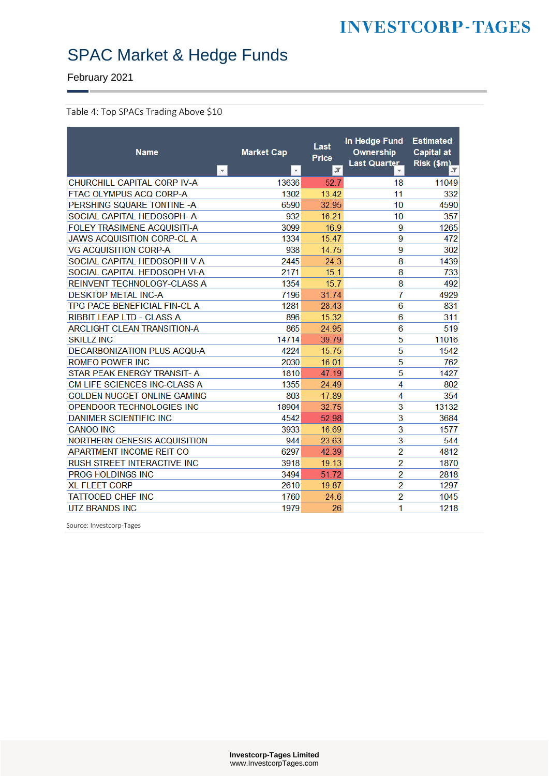February 2021

#### <span id="page-9-0"></span>Table 4: Top SPACs Trading Above \$10

| <b>Name</b><br>$\vert \mathbf{v} \vert$ | <b>Market Cap</b><br>$\mathbf{v}$ | Last<br>Price<br>$ \mathcal{F} $ | In Hedge Fund<br>Ownership<br>Last Quarter | <b>Estimated</b><br><b>Capital at</b><br>Risk (\$m)<br>JТ. |
|-----------------------------------------|-----------------------------------|----------------------------------|--------------------------------------------|------------------------------------------------------------|
| CHURCHILL CAPITAL CORP IV-A             | 13636                             | 52.7                             | 18                                         | 11049                                                      |
| FTAC OLYMPUS ACQ CORP-A                 | 1302                              | 13.42                            | 11                                         | 332                                                        |
| PERSHING SQUARE TONTINE - A             | 6590                              | 32.95                            | 10                                         | 4590                                                       |
| SOCIAL CAPITAL HEDOSOPH- A              | 932                               | 16.21                            | 10                                         | 357                                                        |
| <b>FOLEY TRASIMENE ACQUISITI-A</b>      | 3099                              | 16.9                             | 9                                          | 1265                                                       |
| <b>JAWS ACQUISITION CORP-CL A</b>       | 1334                              | 15.47                            | 9                                          | 472                                                        |
| <b>VG ACQUISITION CORP-A</b>            | 938                               | 14.75                            | 9                                          | 302                                                        |
| SOCIAL CAPITAL HEDOSOPHI V-A            | 2445                              | 24.3                             | 8                                          | 1439                                                       |
| SOCIAL CAPITAL HEDOSOPH VI-A            | 2171                              | 15.1                             | 8                                          | 733                                                        |
| REINVENT TECHNOLOGY-CLASS A             | 1354                              | 15.7                             | 8                                          | 492                                                        |
| <b>DESKTOP METAL INC-A</b>              | 7196                              | 31.74                            | 7                                          | 4929                                                       |
| TPG PACE BENEFICIAL FIN-CL A            | 1281                              | 28.43                            | 6                                          | 831                                                        |
| <b>RIBBIT LEAP LTD - CLASS A</b>        | 896                               | 15.32                            | 6                                          | 311                                                        |
| <b>ARCLIGHT CLEAN TRANSITION-A</b>      | 865                               | 24.95                            | 6                                          | 519                                                        |
| <b>SKILLZ INC</b>                       | 14714                             | 39.79                            | 5                                          | 11016                                                      |
| DECARBONIZATION PLUS ACQU-A             | 4224                              | 15.75                            | 5                                          | 1542                                                       |
| <b>ROMEO POWER INC</b>                  | 2030                              | 16.01                            | 5                                          | 762                                                        |
| STAR PEAK ENERGY TRANSIT- A             | 1810                              | 47.19                            | 5                                          | 1427                                                       |
| CM LIFE SCIENCES INC-CLASS A            | 1355                              | 24.49                            | 4                                          | 802                                                        |
| <b>GOLDEN NUGGET ONLINE GAMING</b>      | 803                               | 17.89                            | 4                                          | 354                                                        |
| OPENDOOR TECHNOLOGIES INC               | 18904                             | 32 75                            | 3                                          | 13132                                                      |
| <b>DANIMER SCIENTIFIC INC</b>           | 4542                              | 52.98                            | 3                                          | 3684                                                       |
| <b>CANOO INC</b>                        | 3933                              | 16.69                            | 3                                          | 1577                                                       |
| NORTHERN GENESIS ACQUISITION            | 944                               | 23.63                            | 3                                          | 544                                                        |
| APARTMENT INCOME REIT CO                | 6297                              | 42.39                            | $\overline{2}$                             | 4812                                                       |
| <b>RUSH STREET INTERACTIVE INC.</b>     | 3918                              | 19.13                            | $\overline{2}$                             | 1870                                                       |
| <b>PROG HOLDINGS INC</b>                | 3494                              | 51.72                            | $\overline{2}$                             | 2818                                                       |
| <b>XL FLEET CORP</b>                    | 2610                              | 19.87                            | $\overline{2}$                             | 1297                                                       |
| <b>TATTOOED CHEF INC</b>                | 1760                              | 24.6                             | $\overline{2}$                             | 1045                                                       |
| <b>UTZ BRANDS INC</b>                   | 1979                              | 26                               | 1                                          | 1218                                                       |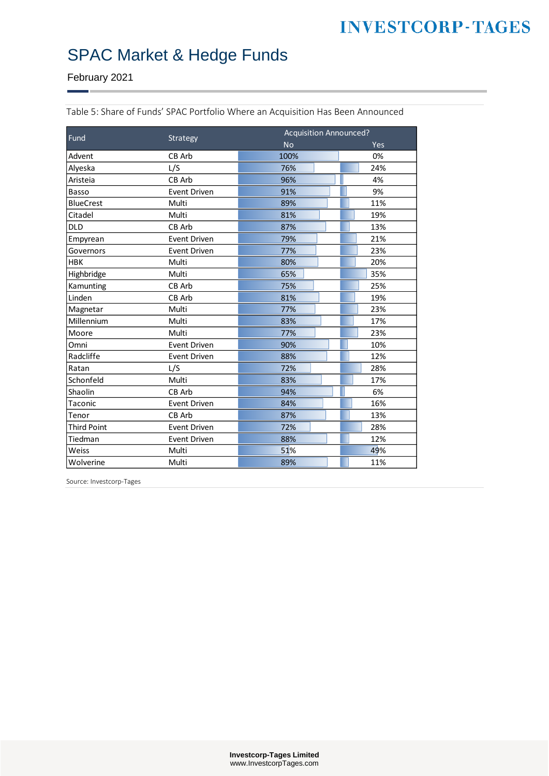# SPAC Market & Hedge Funds

February 2021

| Fund               |                     | <b>Acquisition Announced?</b> |     |  |  |
|--------------------|---------------------|-------------------------------|-----|--|--|
|                    | Strategy            | <b>No</b>                     | Yes |  |  |
| Advent             | CB Arb              | 100%                          | 0%  |  |  |
| Alveska            | L/S                 | 76%                           | 24% |  |  |
| Aristeia           | CB Arb              | 96%                           | 4%  |  |  |
| <b>Basso</b>       | <b>Event Driven</b> | 91%                           | 9%  |  |  |
| <b>BlueCrest</b>   | Multi               | 89%                           | 11% |  |  |
| Citadel            | Multi               | 81%                           | 19% |  |  |
| <b>DLD</b>         | CB Arb              | 87%                           | 13% |  |  |
| Empyrean           | <b>Event Driven</b> | 79%                           | 21% |  |  |
| Governors          | <b>Event Driven</b> | 77%                           | 23% |  |  |
| <b>HBK</b>         | Multi               | 80%                           | 20% |  |  |
| Highbridge         | Multi               | 65%                           | 35% |  |  |
| Kamunting          | CB Arb              | 75%                           | 25% |  |  |
| Linden             | CB Arb              | 81%                           | 19% |  |  |
| Magnetar           | Multi               | 77%                           | 23% |  |  |
| Millennium         | Multi               | 83%                           | 17% |  |  |
| Moore              | Multi               | 77%                           | 23% |  |  |
| Omni               | <b>Event Driven</b> | 90%                           | 10% |  |  |
| Radcliffe          | <b>Event Driven</b> | 88%                           | 12% |  |  |
| Ratan              | L/S                 | 72%                           | 28% |  |  |
| Schonfeld          | Multi               | 83%                           | 17% |  |  |
| Shaolin            | CB Arb              | 94%                           | 6%  |  |  |
| Taconic            | <b>Event Driven</b> | 84%                           | 16% |  |  |
| Tenor              | CB Arb              | 87%                           | 13% |  |  |
| <b>Third Point</b> | <b>Event Driven</b> | 72%                           | 28% |  |  |
| Tiedman            | Event Driven        | 88%                           | 12% |  |  |
| Weiss              | Multi               | 51%                           | 49% |  |  |
| Wolverine          | Multi               | 89%                           | 11% |  |  |

<span id="page-10-0"></span>Table 5: Share of Funds' SPAC Portfolio Where an Acquisition Has Been Announced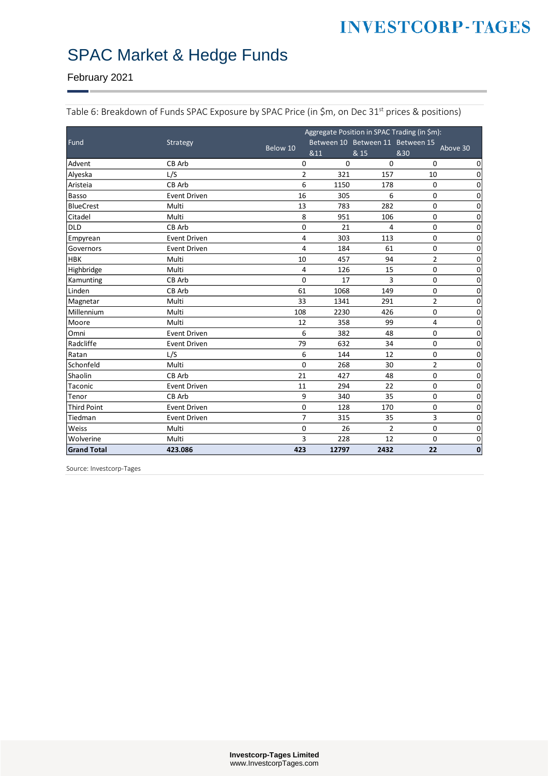#### February 2021

|                    |                     | Aggregate Position in SPAC Trading (in \$m):<br>Between 10 Between 11 Between 15 |       |                |                |             |
|--------------------|---------------------|----------------------------------------------------------------------------------|-------|----------------|----------------|-------------|
| Fund               | Strategy            | Below 10                                                                         | &11   | & 15           | &30            | Above 30    |
| Advent             | CB Arb              | 0                                                                                | 0     | 0              | 0              | 0           |
| Alyeska            | L/S                 | $\overline{2}$                                                                   | 321   | 157            | 10             | $\mathbf 0$ |
| Aristeia           | CB Arb              | 6                                                                                | 1150  | 178            | 0              | 0           |
| Basso              | <b>Event Driven</b> | 16                                                                               | 305   | 6              | 0              | 0           |
| <b>BlueCrest</b>   | Multi               | 13                                                                               | 783   | 282            | 0              | $\Omega$    |
| Citadel            | Multi               | 8                                                                                | 951   | 106            | 0              | 0           |
| <b>DLD</b>         | CB Arb              | 0                                                                                | 21    | 4              | 0              | $\mathbf 0$ |
| Empyrean           | <b>Event Driven</b> | 4                                                                                | 303   | 113            | 0              | $\mathbf 0$ |
| Governors          | Event Driven        | 4                                                                                | 184   | 61             | 0              | 0           |
| <b>HBK</b>         | Multi               | 10                                                                               | 457   | 94             | $\overline{2}$ | $\mathbf 0$ |
| Highbridge         | Multi               | 4                                                                                | 126   | 15             | 0              | $\mathbf 0$ |
| Kamunting          | CB Arb              | 0                                                                                | 17    | 3              | 0              | 0           |
| Linden             | CB Arb              | 61                                                                               | 1068  | 149            | 0              | 0           |
| Magnetar           | Multi               | 33                                                                               | 1341  | 291            | $\overline{2}$ | $\mathbf 0$ |
| Millennium         | Multi               | 108                                                                              | 2230  | 426            | 0              | 0           |
| Moore              | Multi               | 12                                                                               | 358   | 99             | 4              | 0           |
| Omni               | <b>Event Driven</b> | 6                                                                                | 382   | 48             | 0              | $\mathbf 0$ |
| Radcliffe          | <b>Event Driven</b> | 79                                                                               | 632   | 34             | 0              | $\mathbf 0$ |
| Ratan              | L/S                 | 6                                                                                | 144   | 12             | $\pmb{0}$      | $\Omega$    |
| Schonfeld          | Multi               | 0                                                                                | 268   | 30             | $\overline{2}$ | $\mathbf 0$ |
| Shaolin            | CB Arb              | 21                                                                               | 427   | 48             | 0              | 0           |
| Taconic            | Event Driven        | 11                                                                               | 294   | 22             | 0              | 0           |
| Tenor              | CB Arb              | 9                                                                                | 340   | 35             | 0              | $\mathbf 0$ |
| <b>Third Point</b> | <b>Event Driven</b> | 0                                                                                | 128   | 170            | 0              | 0           |
| Tiedman            | Event Driven        | $\overline{7}$                                                                   | 315   | 35             | 3              | $\mathbf 0$ |
| Weiss              | Multi               | 0                                                                                | 26    | $\overline{2}$ | 0              | $\mathbf 0$ |
| Wolverine          | Multi               | 3                                                                                | 228   | 12             | 0              | 0           |
| <b>Grand Total</b> | 423.086             | 423                                                                              | 12797 | 2432           | 22             | $\mathbf 0$ |

<span id="page-11-0"></span>Table 6: Breakdown of Funds SPAC Exposure by SPAC Price (in \$m, on Dec 31<sup>st</sup> prices & positions)